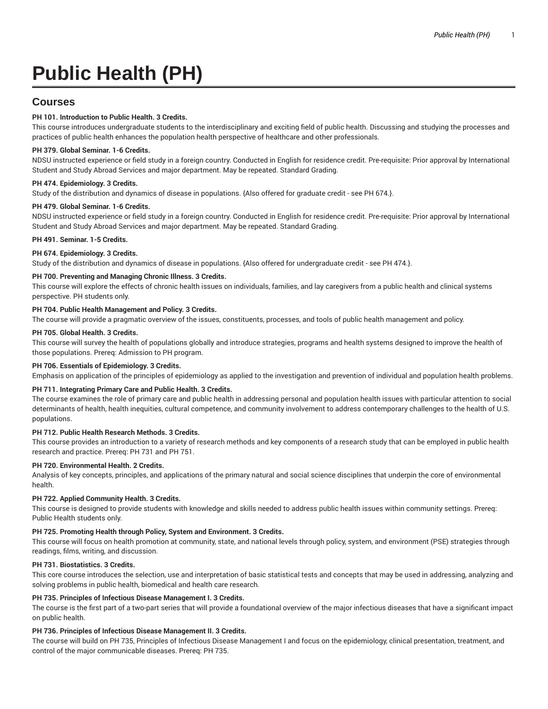# **Public Health (PH)**

# **Courses**

# **PH 101. Introduction to Public Health. 3 Credits.**

This course introduces undergraduate students to the interdisciplinary and exciting field of public health. Discussing and studying the processes and practices of public health enhances the population health perspective of healthcare and other professionals.

# **PH 379. Global Seminar. 1-6 Credits.**

NDSU instructed experience or field study in a foreign country. Conducted in English for residence credit. Pre-requisite: Prior approval by International Student and Study Abroad Services and major department. May be repeated. Standard Grading.

# **PH 474. Epidemiology. 3 Credits.**

Study of the distribution and dynamics of disease in populations. {Also offered for graduate credit - see PH 674.}.

#### **PH 479. Global Seminar. 1-6 Credits.**

NDSU instructed experience or field study in a foreign country. Conducted in English for residence credit. Pre-requisite: Prior approval by International Student and Study Abroad Services and major department. May be repeated. Standard Grading.

#### **PH 491. Seminar. 1-5 Credits.**

#### **PH 674. Epidemiology. 3 Credits.**

Study of the distribution and dynamics of disease in populations. {Also offered for undergraduate credit - see PH 474.}.

#### **PH 700. Preventing and Managing Chronic Illness. 3 Credits.**

This course will explore the effects of chronic health issues on individuals, families, and lay caregivers from a public health and clinical systems perspective. PH students only.

# **PH 704. Public Health Management and Policy. 3 Credits.**

The course will provide a pragmatic overview of the issues, constituents, processes, and tools of public health management and policy.

#### **PH 705. Global Health. 3 Credits.**

This course will survey the health of populations globally and introduce strategies, programs and health systems designed to improve the health of those populations. Prereq: Admission to PH program.

#### **PH 706. Essentials of Epidemiology. 3 Credits.**

Emphasis on application of the principles of epidemiology as applied to the investigation and prevention of individual and population health problems.

#### **PH 711. Integrating Primary Care and Public Health. 3 Credits.**

The course examines the role of primary care and public health in addressing personal and population health issues with particular attention to social determinants of health, health inequities, cultural competence, and community involvement to address contemporary challenges to the health of U.S. populations.

# **PH 712. Public Health Research Methods. 3 Credits.**

This course provides an introduction to a variety of research methods and key components of a research study that can be employed in public health research and practice. Prereq: PH 731 and PH 751.

#### **PH 720. Environmental Health. 2 Credits.**

Analysis of key concepts, principles, and applications of the primary natural and social science disciplines that underpin the core of environmental health.

#### **PH 722. Applied Community Health. 3 Credits.**

This course is designed to provide students with knowledge and skills needed to address public health issues within community settings. Prereq: Public Health students only.

#### **PH 725. Promoting Health through Policy, System and Environment. 3 Credits.**

This course will focus on health promotion at community, state, and national levels through policy, system, and environment (PSE) strategies through readings, films, writing, and discussion.

#### **PH 731. Biostatistics. 3 Credits.**

This core course introduces the selection, use and interpretation of basic statistical tests and concepts that may be used in addressing, analyzing and solving problems in public health, biomedical and health care research.

# **PH 735. Principles of Infectious Disease Management I. 3 Credits.**

The course is the first part of a two-part series that will provide a foundational overview of the major infectious diseases that have a significant impact on public health.

#### **PH 736. Principles of Infectious Disease Management II. 3 Credits.**

The course will build on PH 735, Principles of Infectious Disease Management I and focus on the epidemiology, clinical presentation, treatment, and control of the major communicable diseases. Prereq: PH 735.